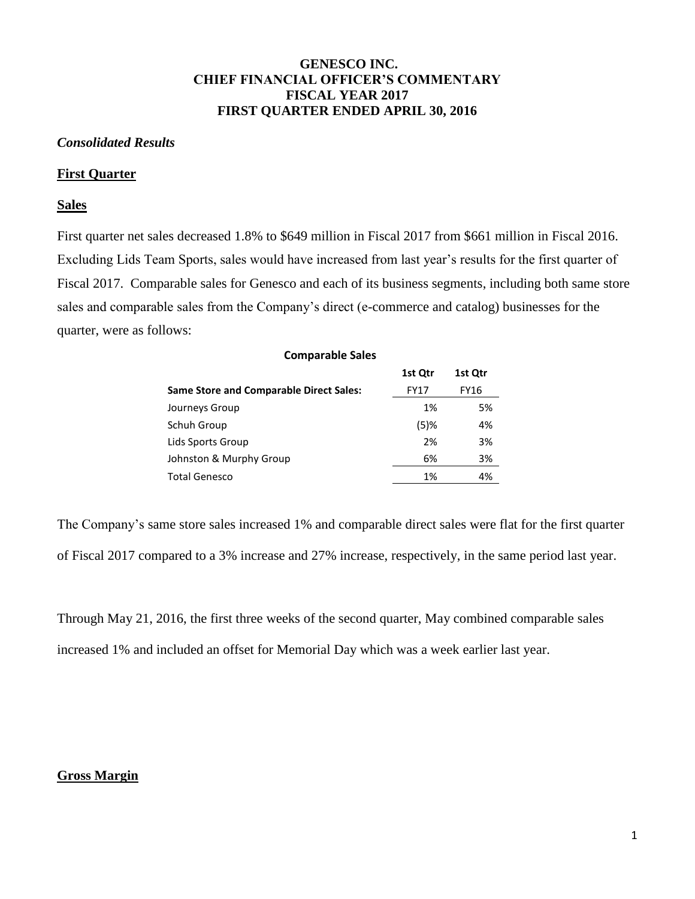## **GENESCO INC. CHIEF FINANCIAL OFFICER'S COMMENTARY FISCAL YEAR 2017 FIRST QUARTER ENDED APRIL 30, 2016**

## *Consolidated Results*

### **First Quarter**

### **Sales**

First quarter net sales decreased 1.8% to \$649 million in Fiscal 2017 from \$661 million in Fiscal 2016. Excluding Lids Team Sports, sales would have increased from last year's results for the first quarter of Fiscal 2017. Comparable sales for Genesco and each of its business segments, including both same store sales and comparable sales from the Company's direct (e-commerce and catalog) businesses for the quarter, were as follows:

| <b>Comparable Sales</b>                        |         |         |
|------------------------------------------------|---------|---------|
|                                                | 1st Qtr | 1st Qtr |
| <b>Same Store and Comparable Direct Sales:</b> | FY17    | FY16    |
| Journeys Group                                 | 1%      | 5%      |
| Schuh Group                                    | $(5)$ % | 4%      |
| Lids Sports Group                              | 2%      | 3%      |
| Johnston & Murphy Group                        | 6%      | 3%      |
| Total Genesco                                  | 1%      | 4%      |
|                                                |         |         |

The Company's same store sales increased 1% and comparable direct sales were flat for the first quarter of Fiscal 2017 compared to a 3% increase and 27% increase, respectively, in the same period last year.

Through May 21, 2016, the first three weeks of the second quarter, May combined comparable sales increased 1% and included an offset for Memorial Day which was a week earlier last year.

## **Gross Margin**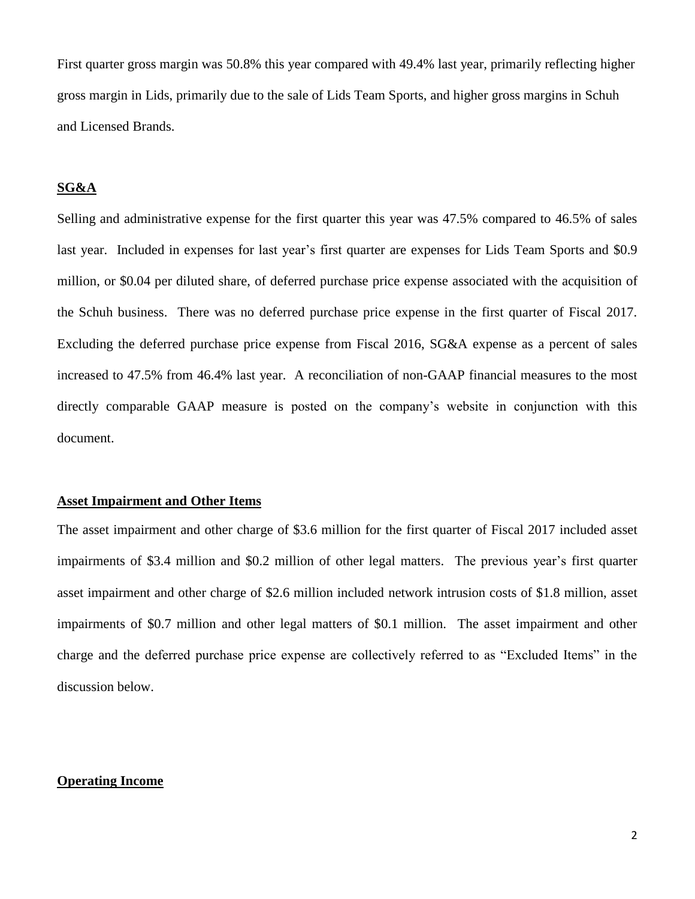First quarter gross margin was 50.8% this year compared with 49.4% last year, primarily reflecting higher gross margin in Lids, primarily due to the sale of Lids Team Sports, and higher gross margins in Schuh and Licensed Brands.

## **SG&A**

Selling and administrative expense for the first quarter this year was 47.5% compared to 46.5% of sales last year. Included in expenses for last year's first quarter are expenses for Lids Team Sports and \$0.9 million, or \$0.04 per diluted share, of deferred purchase price expense associated with the acquisition of the Schuh business. There was no deferred purchase price expense in the first quarter of Fiscal 2017. Excluding the deferred purchase price expense from Fiscal 2016, SG&A expense as a percent of sales increased to 47.5% from 46.4% last year. A reconciliation of non-GAAP financial measures to the most directly comparable GAAP measure is posted on the company's website in conjunction with this document.

## **Asset Impairment and Other Items**

The asset impairment and other charge of \$3.6 million for the first quarter of Fiscal 2017 included asset impairments of \$3.4 million and \$0.2 million of other legal matters. The previous year's first quarter asset impairment and other charge of \$2.6 million included network intrusion costs of \$1.8 million, asset impairments of \$0.7 million and other legal matters of \$0.1 million. The asset impairment and other charge and the deferred purchase price expense are collectively referred to as "Excluded Items" in the discussion below.

## **Operating Income**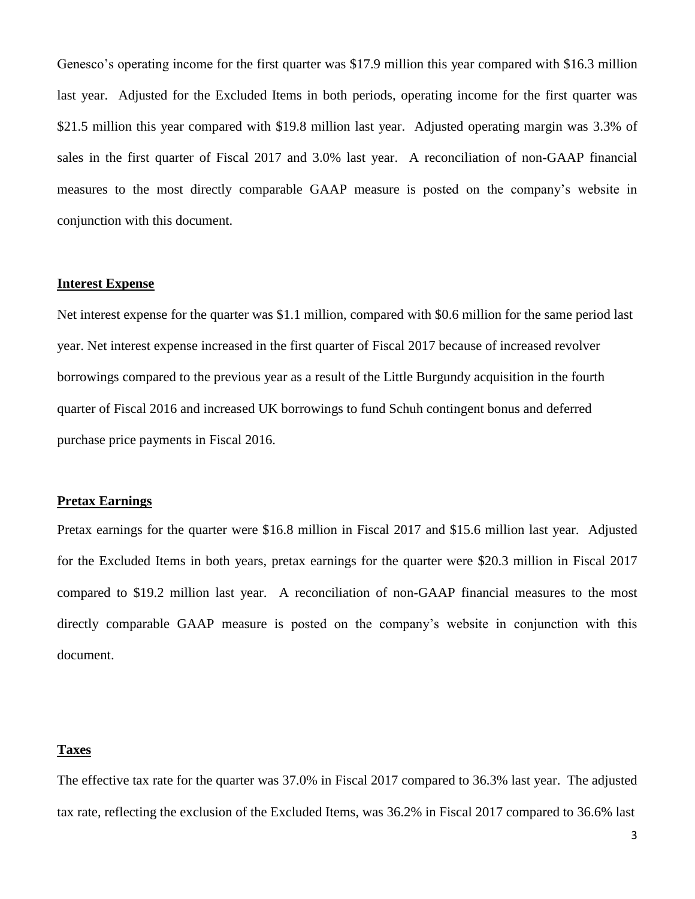Genesco's operating income for the first quarter was \$17.9 million this year compared with \$16.3 million last year. Adjusted for the Excluded Items in both periods, operating income for the first quarter was \$21.5 million this year compared with \$19.8 million last year. Adjusted operating margin was 3.3% of sales in the first quarter of Fiscal 2017 and 3.0% last year. A reconciliation of non-GAAP financial measures to the most directly comparable GAAP measure is posted on the company's website in conjunction with this document.

### **Interest Expense**

Net interest expense for the quarter was \$1.1 million, compared with \$0.6 million for the same period last year. Net interest expense increased in the first quarter of Fiscal 2017 because of increased revolver borrowings compared to the previous year as a result of the Little Burgundy acquisition in the fourth quarter of Fiscal 2016 and increased UK borrowings to fund Schuh contingent bonus and deferred purchase price payments in Fiscal 2016.

## **Pretax Earnings**

Pretax earnings for the quarter were \$16.8 million in Fiscal 2017 and \$15.6 million last year. Adjusted for the Excluded Items in both years, pretax earnings for the quarter were \$20.3 million in Fiscal 2017 compared to \$19.2 million last year. A reconciliation of non-GAAP financial measures to the most directly comparable GAAP measure is posted on the company's website in conjunction with this document.

#### **Taxes**

The effective tax rate for the quarter was 37.0% in Fiscal 2017 compared to 36.3% last year. The adjusted tax rate, reflecting the exclusion of the Excluded Items, was 36.2% in Fiscal 2017 compared to 36.6% last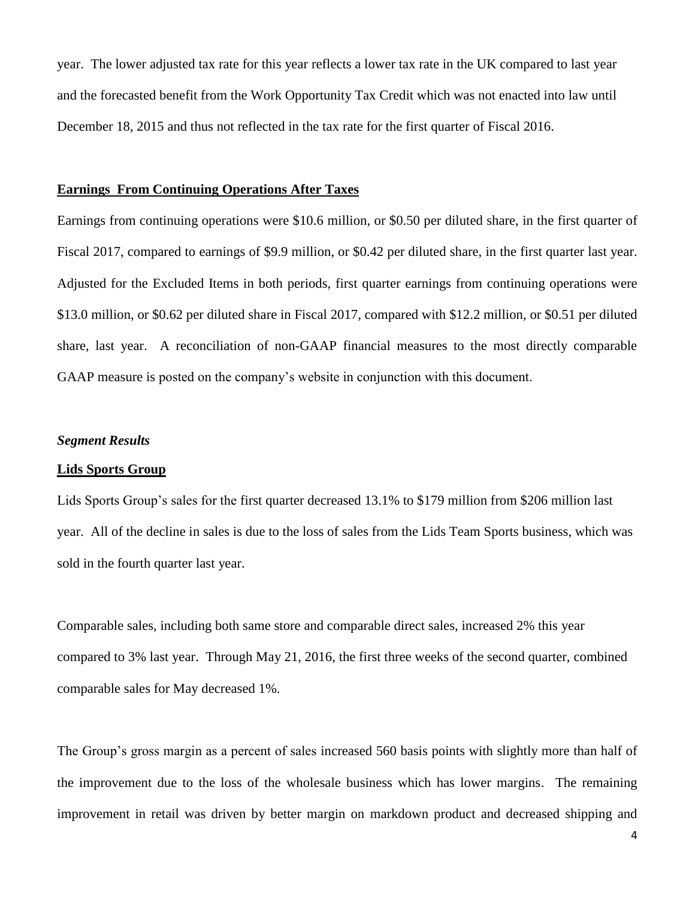year. The lower adjusted tax rate for this year reflects a lower tax rate in the UK compared to last year and the forecasted benefit from the Work Opportunity Tax Credit which was not enacted into law until December 18, 2015 and thus not reflected in the tax rate for the first quarter of Fiscal 2016.

#### **Earnings From Continuing Operations After Taxes**

Earnings from continuing operations were \$10.6 million, or \$0.50 per diluted share, in the first quarter of Fiscal 2017, compared to earnings of \$9.9 million, or \$0.42 per diluted share, in the first quarter last year. Adjusted for the Excluded Items in both periods, first quarter earnings from continuing operations were \$13.0 million, or \$0.62 per diluted share in Fiscal 2017, compared with \$12.2 million, or \$0.51 per diluted share, last year. A reconciliation of non-GAAP financial measures to the most directly comparable GAAP measure is posted on the company's website in conjunction with this document.

#### *Segment Results*

#### **Lids Sports Group**

Lids Sports Group's sales for the first quarter decreased 13.1% to \$179 million from \$206 million last year. All of the decline in sales is due to the loss of sales from the Lids Team Sports business, which was sold in the fourth quarter last year.

Comparable sales, including both same store and comparable direct sales, increased 2% this year compared to 3% last year. Through May 21, 2016, the first three weeks of the second quarter, combined comparable sales for May decreased 1%.

The Group's gross margin as a percent of sales increased 560 basis points with slightly more than half of the improvement due to the loss of the wholesale business which has lower margins. The remaining improvement in retail was driven by better margin on markdown product and decreased shipping and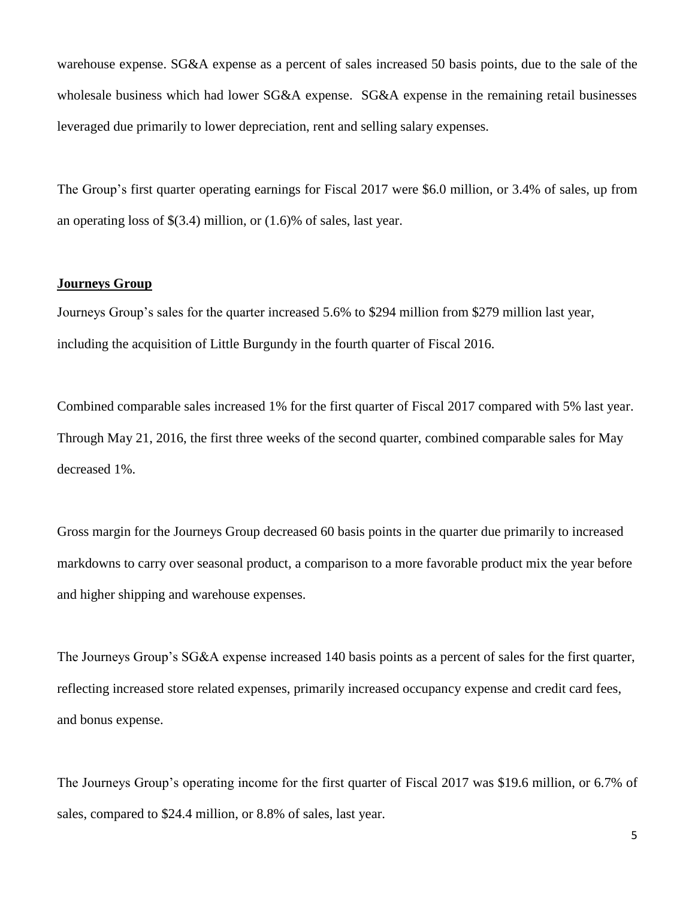warehouse expense. SG&A expense as a percent of sales increased 50 basis points, due to the sale of the wholesale business which had lower SG&A expense. SG&A expense in the remaining retail businesses leveraged due primarily to lower depreciation, rent and selling salary expenses.

The Group's first quarter operating earnings for Fiscal 2017 were \$6.0 million, or 3.4% of sales, up from an operating loss of \$(3.4) million, or (1.6)% of sales, last year.

## **Journeys Group**

Journeys Group's sales for the quarter increased 5.6% to \$294 million from \$279 million last year, including the acquisition of Little Burgundy in the fourth quarter of Fiscal 2016.

Combined comparable sales increased 1% for the first quarter of Fiscal 2017 compared with 5% last year. Through May 21, 2016, the first three weeks of the second quarter, combined comparable sales for May decreased 1%.

Gross margin for the Journeys Group decreased 60 basis points in the quarter due primarily to increased markdowns to carry over seasonal product, a comparison to a more favorable product mix the year before and higher shipping and warehouse expenses.

The Journeys Group's SG&A expense increased 140 basis points as a percent of sales for the first quarter, reflecting increased store related expenses, primarily increased occupancy expense and credit card fees, and bonus expense.

The Journeys Group's operating income for the first quarter of Fiscal 2017 was \$19.6 million, or 6.7% of sales, compared to \$24.4 million, or 8.8% of sales, last year.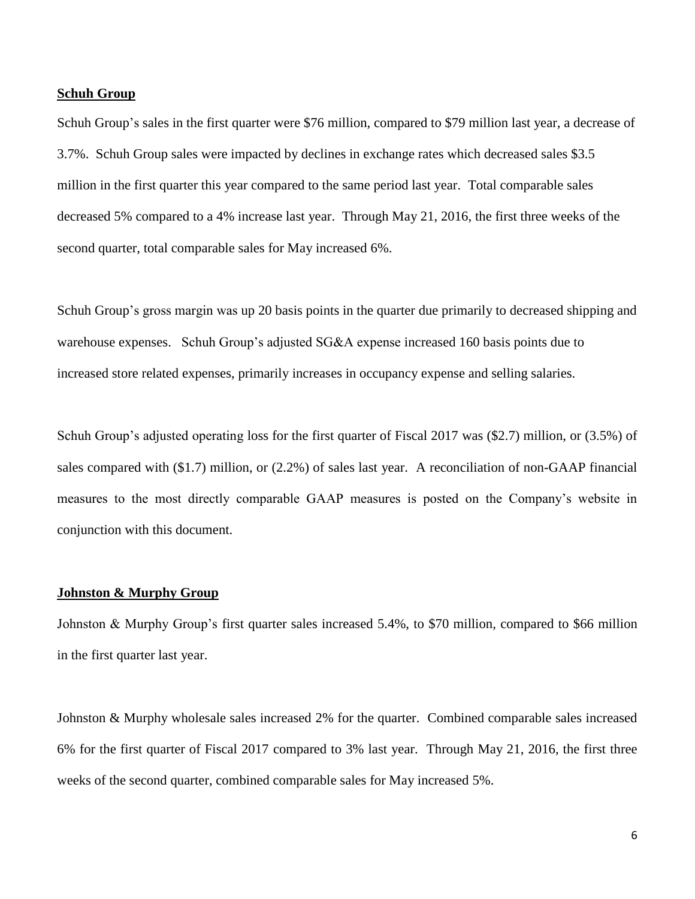### **Schuh Group**

Schuh Group's sales in the first quarter were \$76 million, compared to \$79 million last year, a decrease of 3.7%. Schuh Group sales were impacted by declines in exchange rates which decreased sales \$3.5 million in the first quarter this year compared to the same period last year. Total comparable sales decreased 5% compared to a 4% increase last year. Through May 21, 2016, the first three weeks of the second quarter, total comparable sales for May increased 6%.

Schuh Group's gross margin was up 20 basis points in the quarter due primarily to decreased shipping and warehouse expenses. Schuh Group's adjusted SG&A expense increased 160 basis points due to increased store related expenses, primarily increases in occupancy expense and selling salaries.

Schuh Group's adjusted operating loss for the first quarter of Fiscal 2017 was (\$2.7) million, or (3.5%) of sales compared with (\$1.7) million, or (2.2%) of sales last year. A reconciliation of non-GAAP financial measures to the most directly comparable GAAP measures is posted on the Company's website in conjunction with this document.

## **Johnston & Murphy Group**

Johnston & Murphy Group's first quarter sales increased 5.4%, to \$70 million, compared to \$66 million in the first quarter last year.

Johnston & Murphy wholesale sales increased 2% for the quarter. Combined comparable sales increased 6% for the first quarter of Fiscal 2017 compared to 3% last year. Through May 21, 2016, the first three weeks of the second quarter, combined comparable sales for May increased 5%.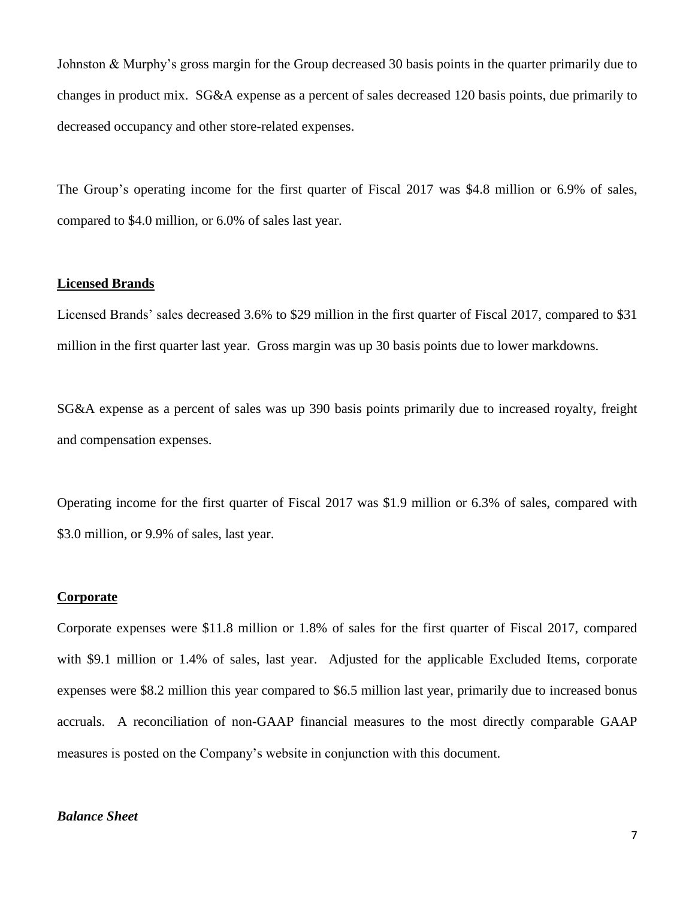Johnston & Murphy's gross margin for the Group decreased 30 basis points in the quarter primarily due to changes in product mix. SG&A expense as a percent of sales decreased 120 basis points, due primarily to decreased occupancy and other store-related expenses.

The Group's operating income for the first quarter of Fiscal 2017 was \$4.8 million or 6.9% of sales, compared to \$4.0 million, or 6.0% of sales last year.

## **Licensed Brands**

Licensed Brands' sales decreased 3.6% to \$29 million in the first quarter of Fiscal 2017, compared to \$31 million in the first quarter last year. Gross margin was up 30 basis points due to lower markdowns.

SG&A expense as a percent of sales was up 390 basis points primarily due to increased royalty, freight and compensation expenses.

Operating income for the first quarter of Fiscal 2017 was \$1.9 million or 6.3% of sales, compared with \$3.0 million, or 9.9% of sales, last year.

#### **Corporate**

Corporate expenses were \$11.8 million or 1.8% of sales for the first quarter of Fiscal 2017, compared with \$9.1 million or 1.4% of sales, last year. Adjusted for the applicable Excluded Items, corporate expenses were \$8.2 million this year compared to \$6.5 million last year, primarily due to increased bonus accruals. A reconciliation of non-GAAP financial measures to the most directly comparable GAAP measures is posted on the Company's website in conjunction with this document.

## *Balance Sheet*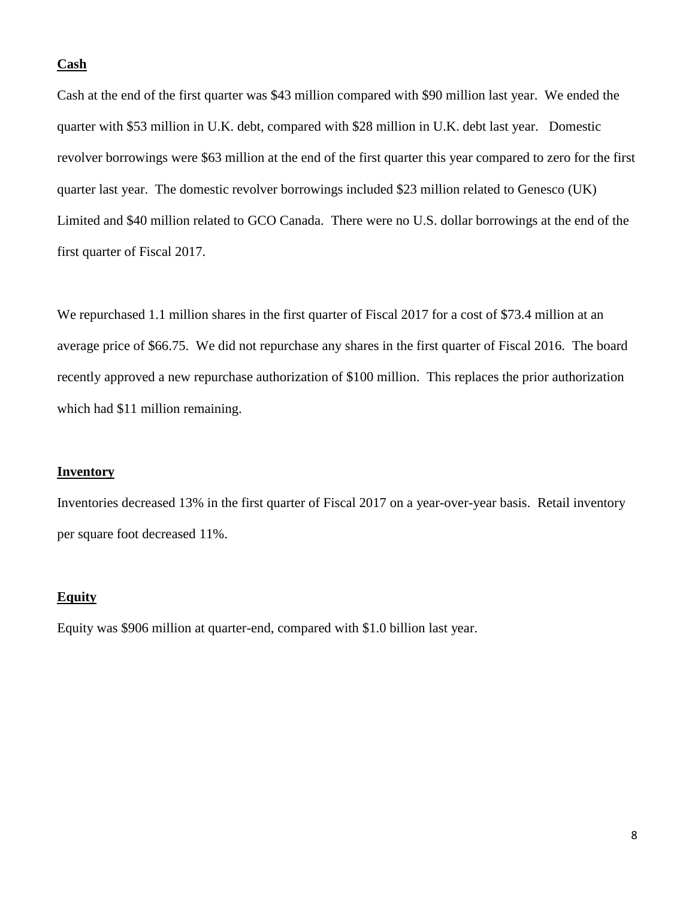#### **Cash**

Cash at the end of the first quarter was \$43 million compared with \$90 million last year. We ended the quarter with \$53 million in U.K. debt, compared with \$28 million in U.K. debt last year. Domestic revolver borrowings were \$63 million at the end of the first quarter this year compared to zero for the first quarter last year. The domestic revolver borrowings included \$23 million related to Genesco (UK) Limited and \$40 million related to GCO Canada. There were no U.S. dollar borrowings at the end of the first quarter of Fiscal 2017.

We repurchased 1.1 million shares in the first quarter of Fiscal 2017 for a cost of \$73.4 million at an average price of \$66.75. We did not repurchase any shares in the first quarter of Fiscal 2016. The board recently approved a new repurchase authorization of \$100 million. This replaces the prior authorization which had \$11 million remaining.

## **Inventory**

Inventories decreased 13% in the first quarter of Fiscal 2017 on a year-over-year basis. Retail inventory per square foot decreased 11%.

#### **Equity**

Equity was \$906 million at quarter-end, compared with \$1.0 billion last year.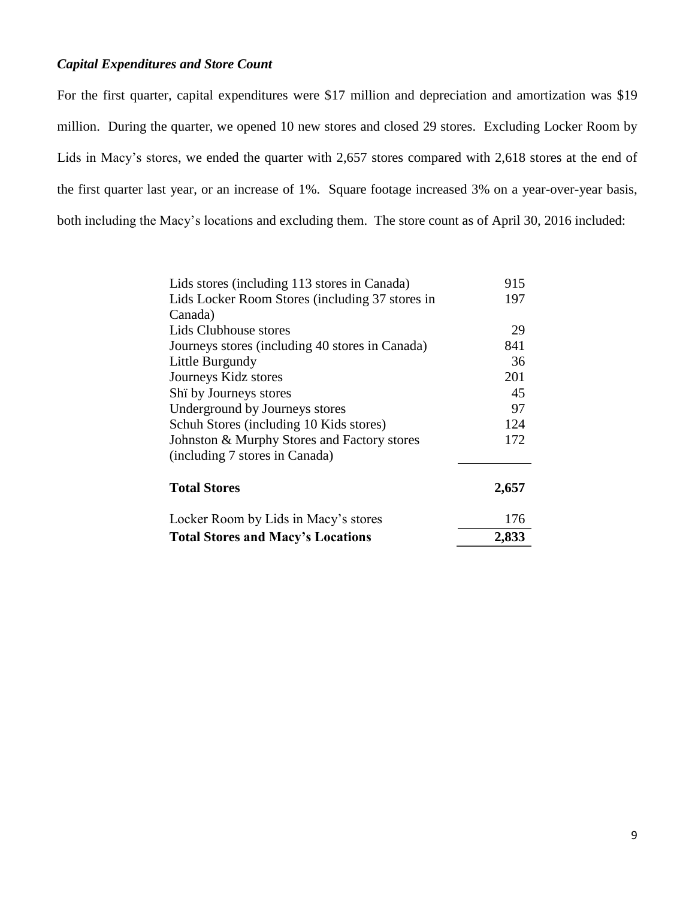## *Capital Expenditures and Store Count*

For the first quarter, capital expenditures were \$17 million and depreciation and amortization was \$19 million. During the quarter, we opened 10 new stores and closed 29 stores. Excluding Locker Room by Lids in Macy's stores, we ended the quarter with 2,657 stores compared with 2,618 stores at the end of the first quarter last year, or an increase of 1%. Square footage increased 3% on a year-over-year basis, both including the Macy's locations and excluding them. The store count as of April 30, 2016 included:

| Lids stores (including 113 stores in Canada)    | 915   |
|-------------------------------------------------|-------|
| Lids Locker Room Stores (including 37 stores in | 197   |
| Canada)                                         |       |
| Lids Clubhouse stores                           | 29    |
| Journeys stores (including 40 stores in Canada) | 841   |
| Little Burgundy                                 | 36    |
| Journeys Kidz stores                            | 201   |
| Shi by Journeys stores                          | 45    |
| Underground by Journeys stores                  | 97    |
| Schuh Stores (including 10 Kids stores)         | 124   |
| Johnston & Murphy Stores and Factory stores     | 172   |
| (including 7 stores in Canada)                  |       |
| <b>Total Stores</b>                             | 2,657 |
| Locker Room by Lids in Macy's stores            | 176   |
| <b>Total Stores and Macy's Locations</b>        | 2,833 |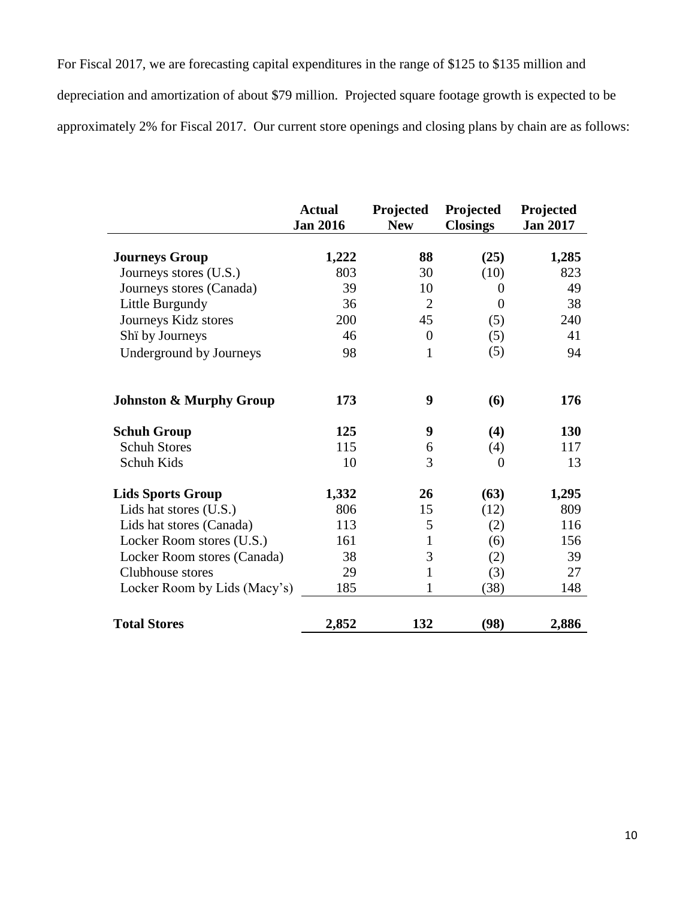For Fiscal 2017, we are forecasting capital expenditures in the range of \$125 to \$135 million and depreciation and amortization of about \$79 million. Projected square footage growth is expected to be approximately 2% for Fiscal 2017. Our current store openings and closing plans by chain are as follows:

|                                    | <b>Actual</b><br><b>Jan 2016</b> | Projected<br><b>New</b> | Projected<br><b>Closings</b> | Projected<br><b>Jan 2017</b> |
|------------------------------------|----------------------------------|-------------------------|------------------------------|------------------------------|
|                                    |                                  |                         |                              |                              |
| <b>Journeys Group</b>              | 1,222                            | 88                      | (25)                         | 1,285                        |
| Journeys stores (U.S.)             | 803                              | 30                      | (10)                         | 823                          |
| Journeys stores (Canada)           | 39                               | 10                      | $\Omega$                     | 49                           |
| Little Burgundy                    | 36                               | $\overline{2}$          | $\overline{0}$               | 38                           |
| Journeys Kidz stores               | 200                              | 45                      | (5)                          | 240                          |
| Shi by Journeys                    | 46                               | $\overline{0}$          | (5)                          | 41                           |
| Underground by Journeys            | 98                               | $\mathbf{1}$            | (5)                          | 94                           |
| <b>Johnston &amp; Murphy Group</b> | 173                              | 9                       | (6)                          | 176                          |
| <b>Schuh Group</b>                 | 125                              | 9                       | (4)                          | 130                          |
| <b>Schuh Stores</b>                | 115                              | 6                       | (4)                          | 117                          |
| Schuh Kids                         | 10                               | 3                       | $\overline{0}$               | 13                           |
| <b>Lids Sports Group</b>           | 1,332                            | 26                      | (63)                         | 1,295                        |
| Lids hat stores (U.S.)             | 806                              | 15                      | (12)                         | 809                          |
| Lids hat stores (Canada)           | 113                              | 5                       | (2)                          | 116                          |
| Locker Room stores (U.S.)          | 161                              | $\mathbf{1}$            | (6)                          | 156                          |
| Locker Room stores (Canada)        | 38                               | 3                       | (2)                          | 39                           |
| Clubhouse stores                   | 29                               | $\mathbf{1}$            | (3)                          | 27                           |
| Locker Room by Lids (Macy's)       | 185                              |                         | (38)                         | 148                          |
| <b>Total Stores</b>                | 2,852                            | 132                     | (98)                         | 2,886                        |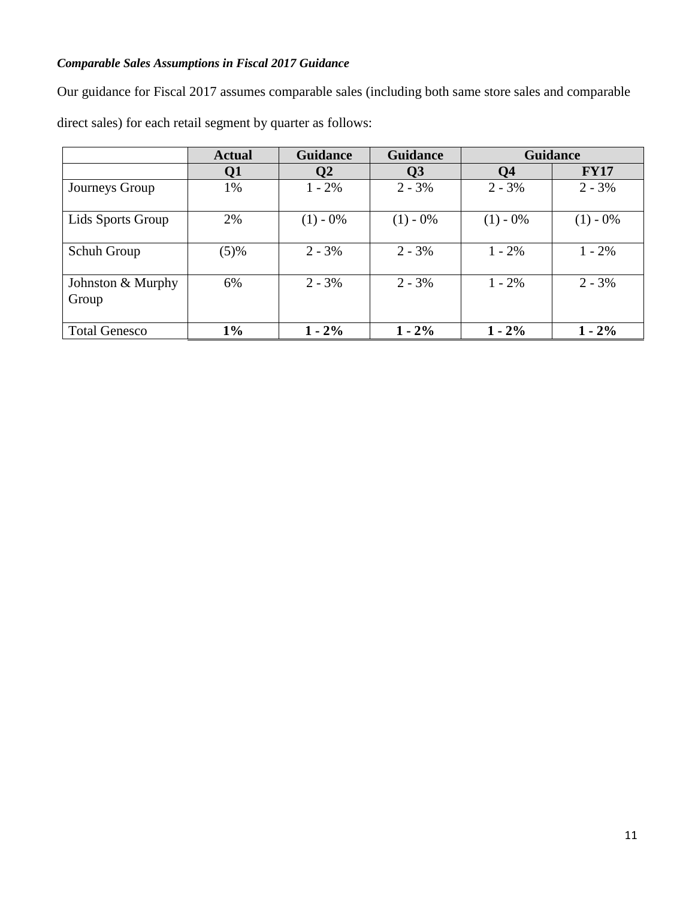# *Comparable Sales Assumptions in Fiscal 2017 Guidance*

Our guidance for Fiscal 2017 assumes comparable sales (including both same store sales and comparable direct sales) for each retail segment by quarter as follows:

|                            | <b>Actual</b> | <b>Guidance</b> | <b>Guidance</b>         | <b>Guidance</b> |             |
|----------------------------|---------------|-----------------|-------------------------|-----------------|-------------|
|                            | Q1            | Q2              | $\overline{\mathbf{Q}}$ | Q <sub>4</sub>  | <b>FY17</b> |
| Journeys Group             | 1%            | $1 - 2\%$       | $2 - 3\%$               | $2 - 3\%$       | $2 - 3\%$   |
| Lids Sports Group          | 2%            | $(1) - 0\%$     | $(1) - 0\%$             | $(1) - 0\%$     | $(1) - 0\%$ |
| Schuh Group                | (5)%          | $2 - 3\%$       | $2 - 3\%$               | $1 - 2\%$       | $1 - 2\%$   |
| Johnston & Murphy<br>Group | 6%            | $2 - 3\%$       | $2 - 3\%$               | $1 - 2\%$       | $2 - 3\%$   |
| <b>Total Genesco</b>       | $1\%$         | $1 - 2\%$       | $1 - 2\%$               | $1 - 2\%$       | $1 - 2\%$   |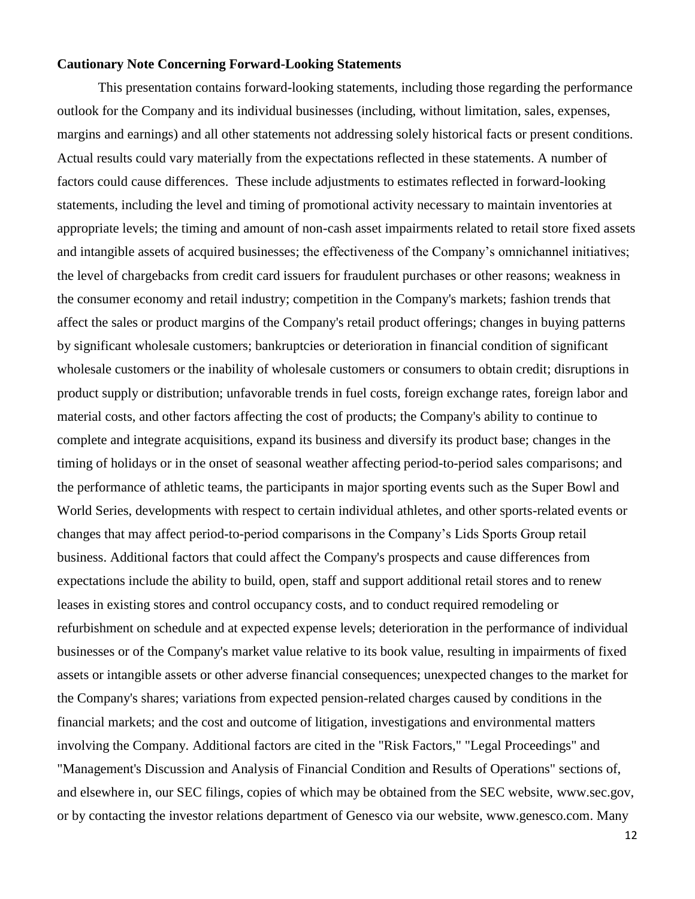## **Cautionary Note Concerning Forward-Looking Statements**

This presentation contains forward-looking statements, including those regarding the performance outlook for the Company and its individual businesses (including, without limitation, sales, expenses, margins and earnings) and all other statements not addressing solely historical facts or present conditions. Actual results could vary materially from the expectations reflected in these statements. A number of factors could cause differences. These include adjustments to estimates reflected in forward-looking statements, including the level and timing of promotional activity necessary to maintain inventories at appropriate levels; the timing and amount of non-cash asset impairments related to retail store fixed assets and intangible assets of acquired businesses; the effectiveness of the Company's omnichannel initiatives; the level of chargebacks from credit card issuers for fraudulent purchases or other reasons; weakness in the consumer economy and retail industry; competition in the Company's markets; fashion trends that affect the sales or product margins of the Company's retail product offerings; changes in buying patterns by significant wholesale customers; bankruptcies or deterioration in financial condition of significant wholesale customers or the inability of wholesale customers or consumers to obtain credit; disruptions in product supply or distribution; unfavorable trends in fuel costs, foreign exchange rates, foreign labor and material costs, and other factors affecting the cost of products; the Company's ability to continue to complete and integrate acquisitions, expand its business and diversify its product base; changes in the timing of holidays or in the onset of seasonal weather affecting period-to-period sales comparisons; and the performance of athletic teams, the participants in major sporting events such as the Super Bowl and World Series, developments with respect to certain individual athletes, and other sports-related events or changes that may affect period-to-period comparisons in the Company's Lids Sports Group retail business. Additional factors that could affect the Company's prospects and cause differences from expectations include the ability to build, open, staff and support additional retail stores and to renew leases in existing stores and control occupancy costs, and to conduct required remodeling or refurbishment on schedule and at expected expense levels; deterioration in the performance of individual businesses or of the Company's market value relative to its book value, resulting in impairments of fixed assets or intangible assets or other adverse financial consequences; unexpected changes to the market for the Company's shares; variations from expected pension-related charges caused by conditions in the financial markets; and the cost and outcome of litigation, investigations and environmental matters involving the Company. Additional factors are cited in the "Risk Factors," "Legal Proceedings" and "Management's Discussion and Analysis of Financial Condition and Results of Operations" sections of, and elsewhere in, our SEC filings, copies of which may be obtained from the SEC website, [www.sec.gov,](http://www.sec.gov/) or by contacting the investor relations department of Genesco via our website, [www.genesco.com.](http://www.genesco.com/) Many